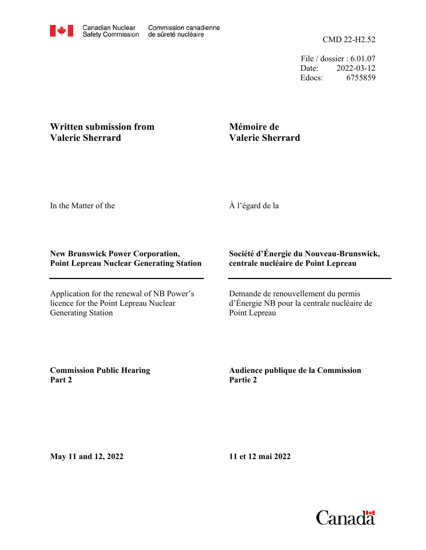CMD 22-H2.52

File / dossier : 6.01.07 Date: 2022-03-12 Edocs: 6755859

## **Written submission from Valerie Sherrard**

## **Mémoire de Valerie Sherrard**

In the Matter of the

À l'égard de la

## **New Brunswick Power Corporation, Point Lepreau Nuclear Generating Station**

Application for the renewal of NB Power's licence for the Point Lepreau Nuclear Generating Station

## **Société d'Énergie du Nouveau-Brunswick, centrale nucléaire de Point Lepreau**

Demande de renouvellement du permis d'Énergie NB pour la centrale nucléaire de Point Lepreau

**Commission Public Hearing Part 2**

**Audience publique de la Commission Partie 2**

**May 11 and 12, 2022**

**11 et 12 mai 2022**